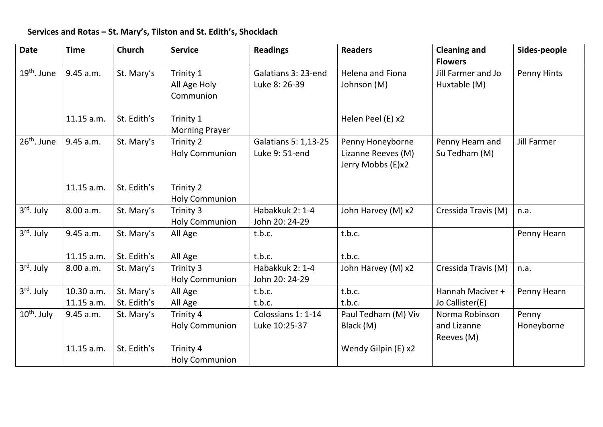## **Services and Rotas – St. Mary's, Tilston and St. Edith's, Shocklach**

| <b>Date</b>            | <b>Time</b>             | <b>Church</b>             | <b>Service</b>                                  | <b>Readings</b>                        | <b>Readers</b>                                              | <b>Cleaning and</b><br><b>Flowers</b>       | Sides-people        |
|------------------------|-------------------------|---------------------------|-------------------------------------------------|----------------------------------------|-------------------------------------------------------------|---------------------------------------------|---------------------|
| $19th$ . June          | 9.45 a.m.               | St. Mary's                | Trinity 1<br>All Age Holy<br>Communion          | Galatians 3: 23-end<br>Luke 8: 26-39   | <b>Helena and Fiona</b><br>Johnson (M)                      | Jill Farmer and Jo<br>Huxtable (M)          | Penny Hints         |
|                        | 11.15 a.m.              | St. Edith's               | Trinity 1<br><b>Morning Prayer</b>              |                                        | Helen Peel (E) x2                                           |                                             |                     |
| $26th$ . June          | 9.45 a.m.               | St. Mary's                | Trinity 2<br><b>Holy Communion</b>              | Galatians 5: 1,13-25<br>Luke 9: 51-end | Penny Honeyborne<br>Lizanne Reeves (M)<br>Jerry Mobbs (E)x2 | Penny Hearn and<br>Su Tedham (M)            | <b>Jill Farmer</b>  |
|                        | 11.15 a.m.              | St. Edith's               | Trinity 2<br><b>Holy Communion</b>              |                                        |                                                             |                                             |                     |
| 3 <sup>rd</sup> . July | 8.00 a.m.               | St. Mary's                | Trinity 3<br><b>Holy Communion</b>              | Habakkuk 2: 1-4<br>John 20: 24-29      | John Harvey (M) x2                                          | Cressida Travis (M)                         | n.a.                |
| 3 <sup>rd</sup> . July | 9.45 a.m.               | St. Mary's                | All Age                                         | t.b.c.                                 | t.b.c.                                                      |                                             | Penny Hearn         |
|                        | 11.15 a.m.              | St. Edith's               | All Age                                         | t.b.c.                                 | t.b.c.                                                      |                                             |                     |
| 3rd. July              | 8.00 a.m.               | St. Mary's                | Trinity 3<br><b>Holy Communion</b>              | Habakkuk 2: 1-4<br>John 20: 24-29      | John Harvey (M) x2                                          | Cressida Travis (M)                         | n.a.                |
| 3 <sup>rd</sup> . July | 10.30 a.m.              | St. Mary's                | All Age                                         | t.b.c.                                 | t.b.c.                                                      | Hannah Maciver +                            | Penny Hearn         |
|                        | 11.15 a.m.              | St. Edith's               | All Age                                         | t.b.c.                                 | t.b.c.                                                      | Jo Callister(E)                             |                     |
| $10th$ . July          | 9.45 a.m.<br>11.15 a.m. | St. Mary's<br>St. Edith's | Trinity 4<br><b>Holy Communion</b><br>Trinity 4 | Colossians 1: 1-14<br>Luke 10:25-37    | Paul Tedham (M) Viv<br>Black (M)<br>Wendy Gilpin (E) x2     | Norma Robinson<br>and Lizanne<br>Reeves (M) | Penny<br>Honeyborne |
|                        |                         |                           | <b>Holy Communion</b>                           |                                        |                                                             |                                             |                     |